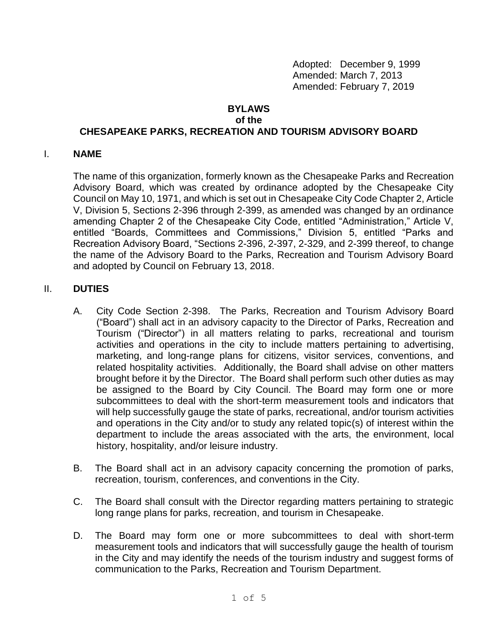Adopted: December 9, 1999 Amended: March 7, 2013 Amended: February 7, 2019

#### **BYLAWS of the**

# **CHESAPEAKE PARKS, RECREATION AND TOURISM ADVISORY BOARD**

#### I. **NAME**

The name of this organization, formerly known as the Chesapeake Parks and Recreation Advisory Board, which was created by ordinance adopted by the Chesapeake City Council on May 10, 1971, and which is set out in Chesapeake City Code Chapter 2, Article V, Division 5, Sections 2-396 through 2-399, as amended was changed by an ordinance amending Chapter 2 of the Chesapeake City Code, entitled "Administration," Article V, entitled "Boards, Committees and Commissions," Division 5, entitled "Parks and Recreation Advisory Board, "Sections 2-396, 2-397, 2-329, and 2-399 thereof, to change the name of the Advisory Board to the Parks, Recreation and Tourism Advisory Board and adopted by Council on February 13, 2018.

#### II. **DUTIES**

- A. City Code Section 2-398.The Parks, Recreation and Tourism Advisory Board ("Board") shall act in an advisory capacity to the Director of Parks, Recreation and Tourism ("Director") in all matters relating to parks, recreational and tourism activities and operations in the city to include matters pertaining to advertising, marketing, and long-range plans for citizens, visitor services, conventions, and related hospitality activities. Additionally, the Board shall advise on other matters brought before it by the Director. The Board shall perform such other duties as may be assigned to the Board by City Council. The Board may form one or more subcommittees to deal with the short-term measurement tools and indicators that will help successfully gauge the state of parks, recreational, and/or tourism activities and operations in the City and/or to study any related topic(s) of interest within the department to include the areas associated with the arts, the environment, local history, hospitality, and/or leisure industry.
- B. The Board shall act in an advisory capacity concerning the promotion of parks, recreation, tourism, conferences, and conventions in the City.
- C. The Board shall consult with the Director regarding matters pertaining to strategic long range plans for parks, recreation, and tourism in Chesapeake.
- D. The Board may form one or more subcommittees to deal with short-term measurement tools and indicators that will successfully gauge the health of tourism in the City and may identify the needs of the tourism industry and suggest forms of communication to the Parks, Recreation and Tourism Department.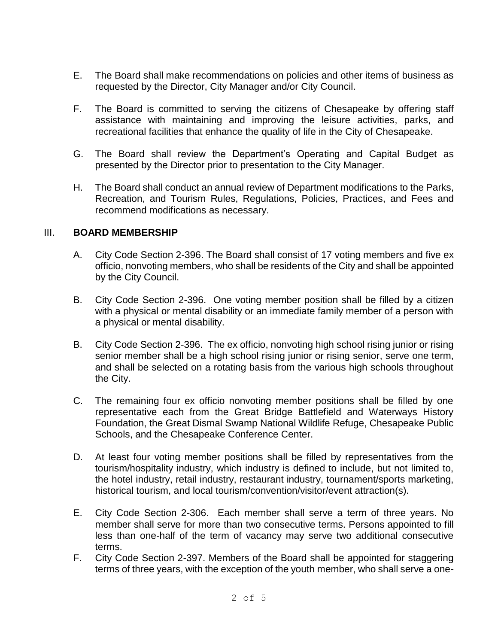- E. The Board shall make recommendations on policies and other items of business as requested by the Director, City Manager and/or City Council.
- F. The Board is committed to serving the citizens of Chesapeake by offering staff assistance with maintaining and improving the leisure activities, parks, and recreational facilities that enhance the quality of life in the City of Chesapeake.
- G. The Board shall review the Department's Operating and Capital Budget as presented by the Director prior to presentation to the City Manager.
- H. The Board shall conduct an annual review of Department modifications to the Parks, Recreation, and Tourism Rules, Regulations, Policies, Practices, and Fees and recommend modifications as necessary.

#### III. **BOARD MEMBERSHIP**

- A. City Code Section 2-396. The Board shall consist of 17 voting members and five ex officio, nonvoting members, who shall be residents of the City and shall be appointed by the City Council.
- B. City Code Section 2-396. One voting member position shall be filled by a citizen with a physical or mental disability or an immediate family member of a person with a physical or mental disability.
- B. City Code Section 2-396. The ex officio, nonvoting high school rising junior or rising senior member shall be a high school rising junior or rising senior, serve one term, and shall be selected on a rotating basis from the various high schools throughout the City.
- C. The remaining four ex officio nonvoting member positions shall be filled by one representative each from the Great Bridge Battlefield and Waterways History Foundation, the Great Dismal Swamp National Wildlife Refuge, Chesapeake Public Schools, and the Chesapeake Conference Center.
- D. At least four voting member positions shall be filled by representatives from the tourism/hospitality industry, which industry is defined to include, but not limited to, the hotel industry, retail industry, restaurant industry, tournament/sports marketing, historical tourism, and local tourism/convention/visitor/event attraction(s).
- E. City Code Section 2-306. Each member shall serve a term of three years. No member shall serve for more than two consecutive terms. Persons appointed to fill less than one-half of the term of vacancy may serve two additional consecutive terms.
- F. City Code Section 2-397. Members of the Board shall be appointed for staggering terms of three years, with the exception of the youth member, who shall serve a one-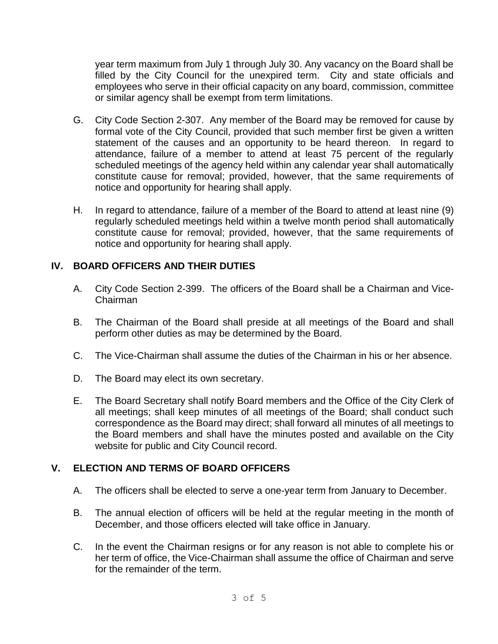year term maximum from July 1 through July 30. Any vacancy on the Board shall be filled by the City Council for the unexpired term. City and state officials and employees who serve in their official capacity on any board, commission, committee or similar agency shall be exempt from term limitations.

- G. City Code Section 2-307. Any member of the Board may be removed for cause by formal vote of the City Council, provided that such member first be given a written statement of the causes and an opportunity to be heard thereon. In regard to attendance, failure of a member to attend at least 75 percent of the regularly scheduled meetings of the agency held within any calendar year shall automatically constitute cause for removal; provided, however, that the same requirements of notice and opportunity for hearing shall apply.
- H. In regard to attendance, failure of a member of the Board to attend at least nine (9) regularly scheduled meetings held within a twelve month period shall automatically constitute cause for removal; provided, however, that the same requirements of notice and opportunity for hearing shall apply.

### **IV. BOARD OFFICERS AND THEIR DUTIES**

- A. City Code Section 2-399. The officers of the Board shall be a Chairman and Vice-Chairman
- B. The Chairman of the Board shall preside at all meetings of the Board and shall perform other duties as may be determined by the Board.
- C. The Vice-Chairman shall assume the duties of the Chairman in his or her absence.
- D. The Board may elect its own secretary.
- E. The Board Secretary shall notify Board members and the Office of the City Clerk of all meetings; shall keep minutes of all meetings of the Board; shall conduct such correspondence as the Board may direct; shall forward all minutes of all meetings to the Board members and shall have the minutes posted and available on the City website for public and City Council record.

# **V. ELECTION AND TERMS OF BOARD OFFICERS**

- A. The officers shall be elected to serve a one-year term from January to December.
- B. The annual election of officers will be held at the regular meeting in the month of December, and those officers elected will take office in January.
- C. In the event the Chairman resigns or for any reason is not able to complete his or her term of office, the Vice-Chairman shall assume the office of Chairman and serve for the remainder of the term.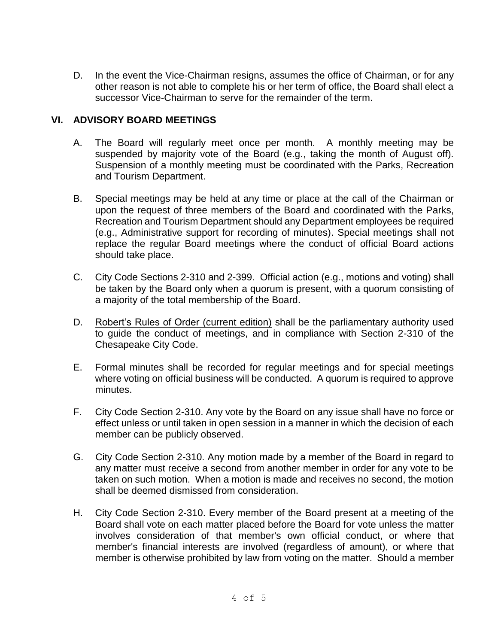D. In the event the Vice-Chairman resigns, assumes the office of Chairman, or for any other reason is not able to complete his or her term of office, the Board shall elect a successor Vice-Chairman to serve for the remainder of the term.

### **VI. ADVISORY BOARD MEETINGS**

- A. The Board will regularly meet once per month. A monthly meeting may be suspended by majority vote of the Board (e.g., taking the month of August off). Suspension of a monthly meeting must be coordinated with the Parks, Recreation and Tourism Department.
- B. Special meetings may be held at any time or place at the call of the Chairman or upon the request of three members of the Board and coordinated with the Parks, Recreation and Tourism Department should any Department employees be required (e.g., Administrative support for recording of minutes). Special meetings shall not replace the regular Board meetings where the conduct of official Board actions should take place.
- C. City Code Sections 2-310 and 2-399. Official action (e.g., motions and voting) shall be taken by the Board only when a quorum is present, with a quorum consisting of a majority of the total membership of the Board.
- D. Robert's Rules of Order (current edition) shall be the parliamentary authority used to guide the conduct of meetings, and in compliance with Section 2-310 of the Chesapeake City Code.
- E. Formal minutes shall be recorded for regular meetings and for special meetings where voting on official business will be conducted. A quorum is required to approve minutes.
- F. City Code Section 2-310. Any vote by the Board on any issue shall have no force or effect unless or until taken in open session in a manner in which the decision of each member can be publicly observed.
- G. City Code Section 2-310. Any motion made by a member of the Board in regard to any matter must receive a second from another member in order for any vote to be taken on such motion. When a motion is made and receives no second, the motion shall be deemed dismissed from consideration.
- H. City Code Section 2-310. Every member of the Board present at a meeting of the Board shall vote on each matter placed before the Board for vote unless the matter involves consideration of that member's own official conduct, or where that member's financial interests are involved (regardless of amount), or where that member is otherwise prohibited by law from voting on the matter. Should a member